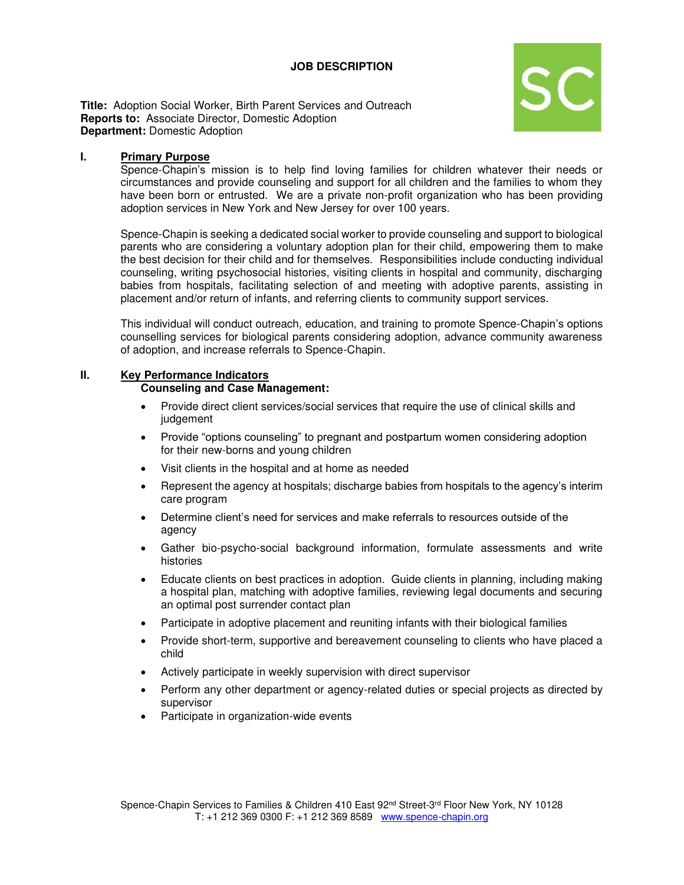## **JOB DESCRIPTION**



**Title:** Adoption Social Worker, Birth Parent Services and Outreach **Reports to:** Associate Director, Domestic Adoption **Department:** Domestic Adoption

#### **I. Primary Purpose**

Spence-Chapin's mission is to help find loving families for children whatever their needs or circumstances and provide counseling and support for all children and the families to whom they have been born or entrusted. We are a private non-profit organization who has been providing adoption services in New York and New Jersey for over 100 years.

Spence-Chapin is seeking a dedicated social worker to provide counseling and support to biological parents who are considering a voluntary adoption plan for their child, empowering them to make the best decision for their child and for themselves. Responsibilities include conducting individual counseling, writing psychosocial histories, visiting clients in hospital and community, discharging babies from hospitals, facilitating selection of and meeting with adoptive parents, assisting in placement and/or return of infants, and referring clients to community support services.

This individual will conduct outreach, education, and training to promote Spence-Chapin's options counselling services for biological parents considering adoption, advance community awareness of adoption, and increase referrals to Spence-Chapin.

#### **II. Key Performance Indicators**

#### **Counseling and Case Management:**

- Provide direct client services/social services that require the use of clinical skills and judgement
- Provide "options counseling" to pregnant and postpartum women considering adoption for their new-borns and young children
- Visit clients in the hospital and at home as needed
- Represent the agency at hospitals; discharge babies from hospitals to the agency's interim care program
- Determine client's need for services and make referrals to resources outside of the agency
- Gather bio-psycho-social background information, formulate assessments and write histories
- Educate clients on best practices in adoption. Guide clients in planning, including making a hospital plan, matching with adoptive families, reviewing legal documents and securing an optimal post surrender contact plan
- Participate in adoptive placement and reuniting infants with their biological families
- Provide short-term, supportive and bereavement counseling to clients who have placed a child
- Actively participate in weekly supervision with direct supervisor
- Perform any other department or agency-related duties or special projects as directed by supervisor
- Participate in organization-wide events